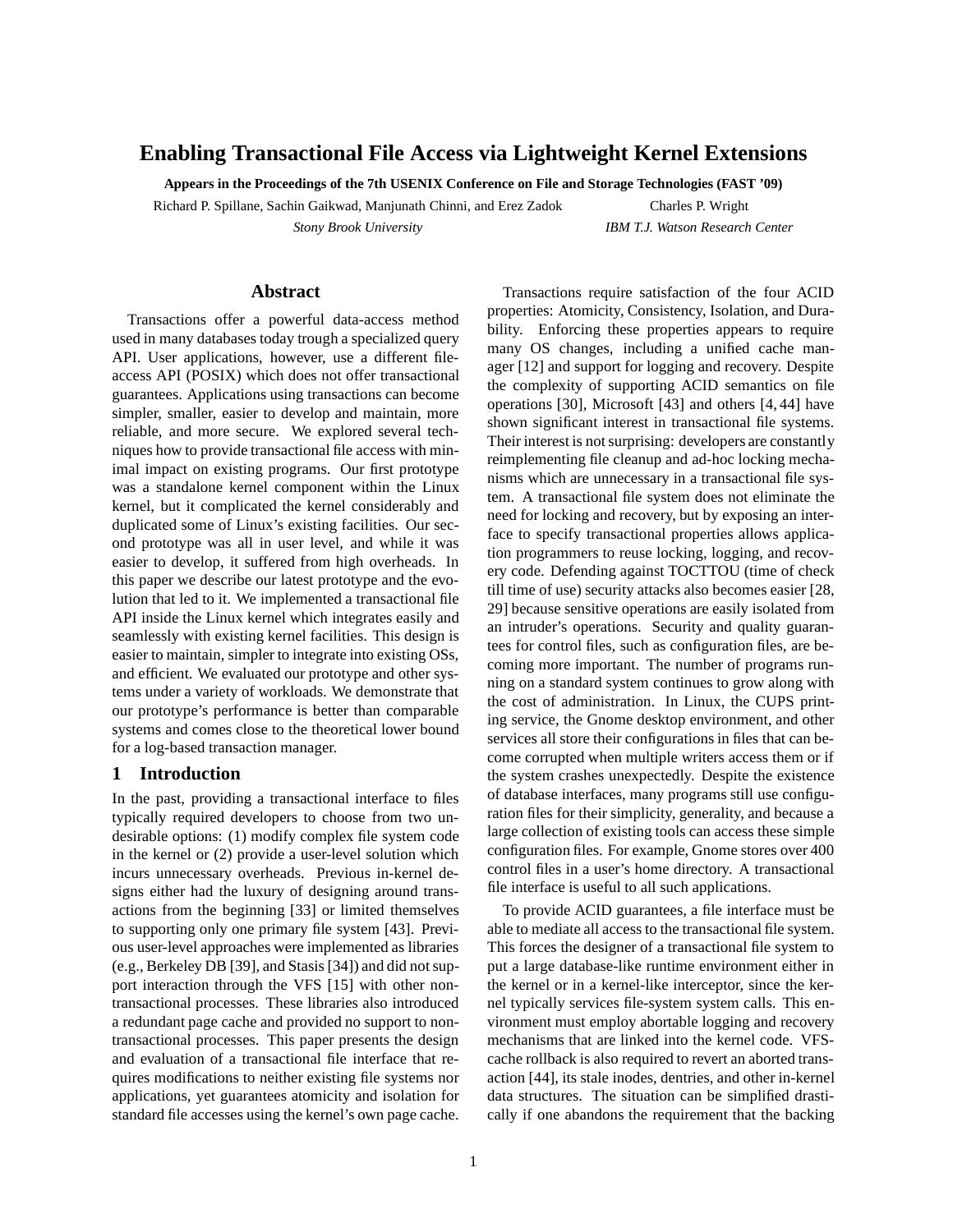# **Enabling Transactional File Access via Lightweight Kernel Extensions**

**Appears in the Proceedings of the 7th USENIX Conference on File and Storage Technologies (FAST '09)**

Richard P. Spillane, Sachin Gaikwad, Manjunath Chinni, and Erez Zadok *Stony Brook University*

Charles P. Wright *IBM T.J. Watson Research Center*

#### **Abstract**

Transactions offer a powerful data-access method used in many databases today trough a specialized query API. User applications, however, use a different fileaccess API (POSIX) which does not offer transactional guarantees. Applications using transactions can become simpler, smaller, easier to develop and maintain, more reliable, and more secure. We explored several techniques how to provide transactional file access with minimal impact on existing programs. Our first prototype was a standalone kernel component within the Linux kernel, but it complicated the kernel considerably and duplicated some of Linux's existing facilities. Our second prototype was all in user level, and while it was easier to develop, it suffered from high overheads. In this paper we describe our latest prototype and the evolution that led to it. We implemented a transactional file API inside the Linux kernel which integrates easily and seamlessly with existing kernel facilities. This design is easier to maintain, simpler to integrate into existing OSs, and efficient. We evaluated our prototype and other systems under a variety of workloads. We demonstrate that our prototype's performance is better than comparable systems and comes close to the theoretical lower bound for a log-based transaction manager.

# **1 Introduction**

In the past, providing a transactional interface to files typically required developers to choose from two undesirable options: (1) modify complex file system code in the kernel or (2) provide a user-level solution which incurs unnecessary overheads. Previous in-kernel designs either had the luxury of designing around transactions from the beginning [33] or limited themselves to supporting only one primary file system [43]. Previous user-level approaches were implemented as libraries (e.g., Berkeley DB [39], and Stasis [34]) and did not support interaction through the VFS [15] with other nontransactional processes. These libraries also introduced a redundant page cache and provided no support to nontransactional processes. This paper presents the design and evaluation of a transactional file interface that requires modifications to neither existing file systems nor applications, yet guarantees atomicity and isolation for standard file accesses using the kernel's own page cache.

Transactions require satisfaction of the four ACID properties: Atomicity, Consistency, Isolation, and Durability. Enforcing these properties appears to require many OS changes, including a unified cache manager [12] and support for logging and recovery. Despite the complexity of supporting ACID semantics on file operations [30], Microsoft [43] and others [4, 44] have shown significant interest in transactional file systems. Their interest is not surprising: developers are constantly reimplementing file cleanup and ad-hoc locking mechanisms which are unnecessary in a transactional file system. A transactional file system does not eliminate the need for locking and recovery, but by exposing an interface to specify transactional properties allows application programmers to reuse locking, logging, and recovery code. Defending against TOCTTOU (time of check till time of use) security attacks also becomes easier [28, 29] because sensitive operations are easily isolated from an intruder's operations. Security and quality guarantees for control files, such as configuration files, are becoming more important. The number of programs running on a standard system continues to grow along with the cost of administration. In Linux, the CUPS printing service, the Gnome desktop environment, and other services all store their configurations in files that can become corrupted when multiple writers access them or if the system crashes unexpectedly. Despite the existence of database interfaces, many programs still use configuration files for their simplicity, generality, and because a large collection of existing tools can access these simple configuration files. For example, Gnome stores over 400 control files in a user's home directory. A transactional file interface is useful to all such applications.

To provide ACID guarantees, a file interface must be able to mediate all access to the transactional file system. This forces the designer of a transactional file system to put a large database-like runtime environment either in the kernel or in a kernel-like interceptor, since the kernel typically services file-system system calls. This environment must employ abortable logging and recovery mechanisms that are linked into the kernel code. VFScache rollback is also required to revert an aborted transaction [44], its stale inodes, dentries, and other in-kernel data structures. The situation can be simplified drastically if one abandons the requirement that the backing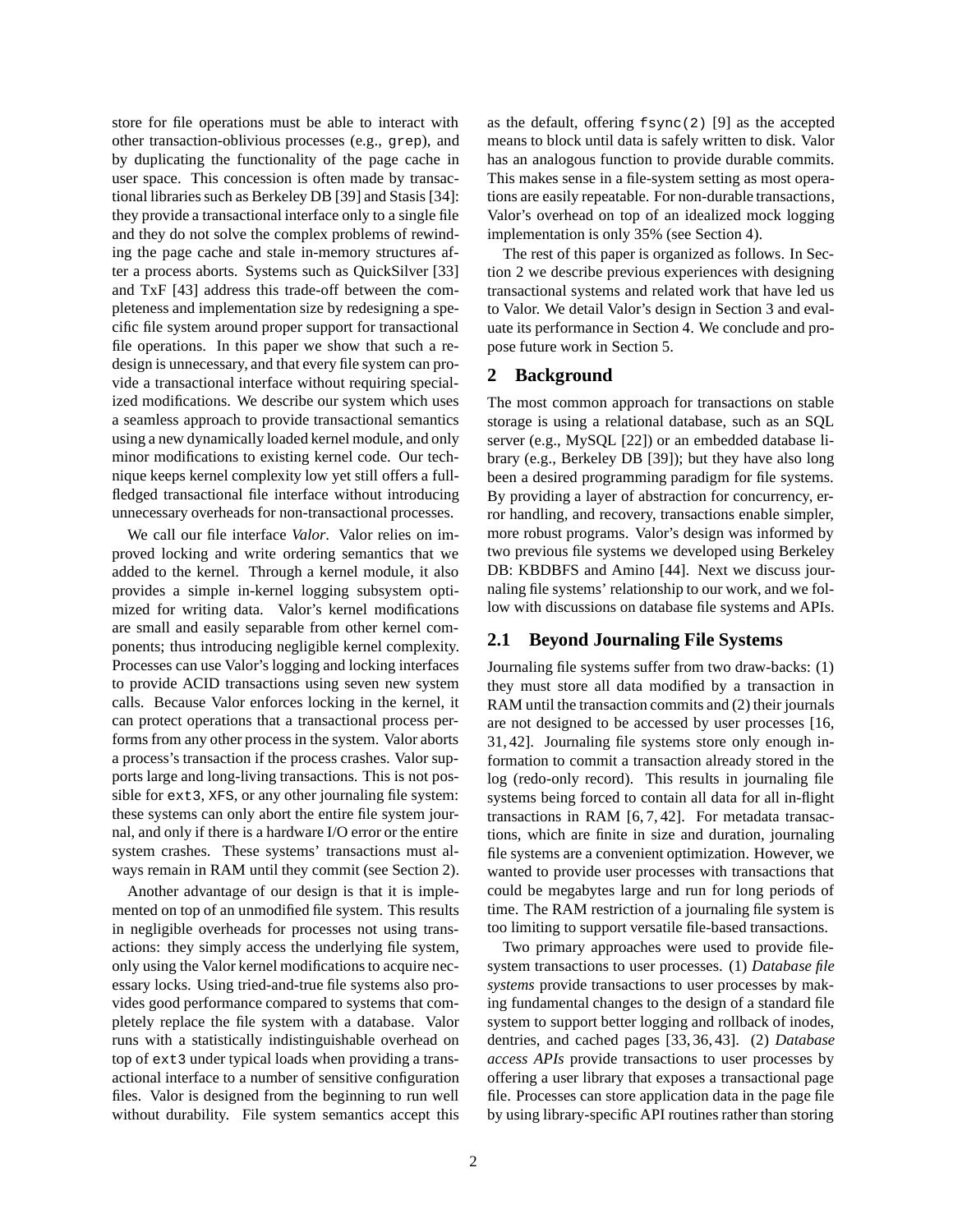store for file operations must be able to interact with other transaction-oblivious processes (e.g., grep), and by duplicating the functionality of the page cache in user space. This concession is often made by transactional libraries such as Berkeley DB [39] and Stasis [34]: they provide a transactional interface only to a single file and they do not solve the complex problems of rewinding the page cache and stale in-memory structures after a process aborts. Systems such as QuickSilver [33] and TxF [43] address this trade-off between the completeness and implementation size by redesigning a specific file system around proper support for transactional file operations. In this paper we show that such a redesign is unnecessary, and that every file system can provide a transactional interface without requiring specialized modifications. We describe our system which uses a seamless approach to provide transactional semantics using a new dynamically loaded kernel module, and only minor modifications to existing kernel code. Our technique keeps kernel complexity low yet still offers a fullfledged transactional file interface without introducing unnecessary overheads for non-transactional processes.

We call our file interface *Valor*. Valor relies on improved locking and write ordering semantics that we added to the kernel. Through a kernel module, it also provides a simple in-kernel logging subsystem optimized for writing data. Valor's kernel modifications are small and easily separable from other kernel components; thus introducing negligible kernel complexity. Processes can use Valor's logging and locking interfaces to provide ACID transactions using seven new system calls. Because Valor enforces locking in the kernel, it can protect operations that a transactional process performs from any other process in the system. Valor aborts a process's transaction if the process crashes. Valor supports large and long-living transactions. This is not possible for ext3, XFS, or any other journaling file system: these systems can only abort the entire file system journal, and only if there is a hardware I/O error or the entire system crashes. These systems' transactions must always remain in RAM until they commit (see Section 2).

Another advantage of our design is that it is implemented on top of an unmodified file system. This results in negligible overheads for processes not using transactions: they simply access the underlying file system, only using the Valor kernel modifications to acquire necessary locks. Using tried-and-true file systems also provides good performance compared to systems that completely replace the file system with a database. Valor runs with a statistically indistinguishable overhead on top of ext3 under typical loads when providing a transactional interface to a number of sensitive configuration files. Valor is designed from the beginning to run well without durability. File system semantics accept this as the default, offering  $f<sub>sync</sub>(2)$  [9] as the accepted means to block until data is safely written to disk. Valor has an analogous function to provide durable commits. This makes sense in a file-system setting as most operations are easily repeatable. For non-durable transactions, Valor's overhead on top of an idealized mock logging implementation is only 35% (see Section 4).

The rest of this paper is organized as follows. In Section 2 we describe previous experiences with designing transactional systems and related work that have led us to Valor. We detail Valor's design in Section 3 and evaluate its performance in Section 4. We conclude and propose future work in Section 5.

## **2 Background**

The most common approach for transactions on stable storage is using a relational database, such as an SQL server (e.g., MySQL [22]) or an embedded database library (e.g., Berkeley DB [39]); but they have also long been a desired programming paradigm for file systems. By providing a layer of abstraction for concurrency, error handling, and recovery, transactions enable simpler, more robust programs. Valor's design was informed by two previous file systems we developed using Berkeley DB: KBDBFS and Amino [44]. Next we discuss journaling file systems' relationship to our work, and we follow with discussions on database file systems and APIs.

#### **2.1 Beyond Journaling File Systems**

Journaling file systems suffer from two draw-backs: (1) they must store all data modified by a transaction in RAM until the transaction commits and (2) their journals are not designed to be accessed by user processes [16, 31, 42]. Journaling file systems store only enough information to commit a transaction already stored in the log (redo-only record). This results in journaling file systems being forced to contain all data for all in-flight transactions in RAM [6, 7, 42]. For metadata transactions, which are finite in size and duration, journaling file systems are a convenient optimization. However, we wanted to provide user processes with transactions that could be megabytes large and run for long periods of time. The RAM restriction of a journaling file system is too limiting to support versatile file-based transactions.

Two primary approaches were used to provide filesystem transactions to user processes. (1) *Database file systems* provide transactions to user processes by making fundamental changes to the design of a standard file system to support better logging and rollback of inodes, dentries, and cached pages [33, 36, 43]. (2) *Database access APIs* provide transactions to user processes by offering a user library that exposes a transactional page file. Processes can store application data in the page file by using library-specific API routines rather than storing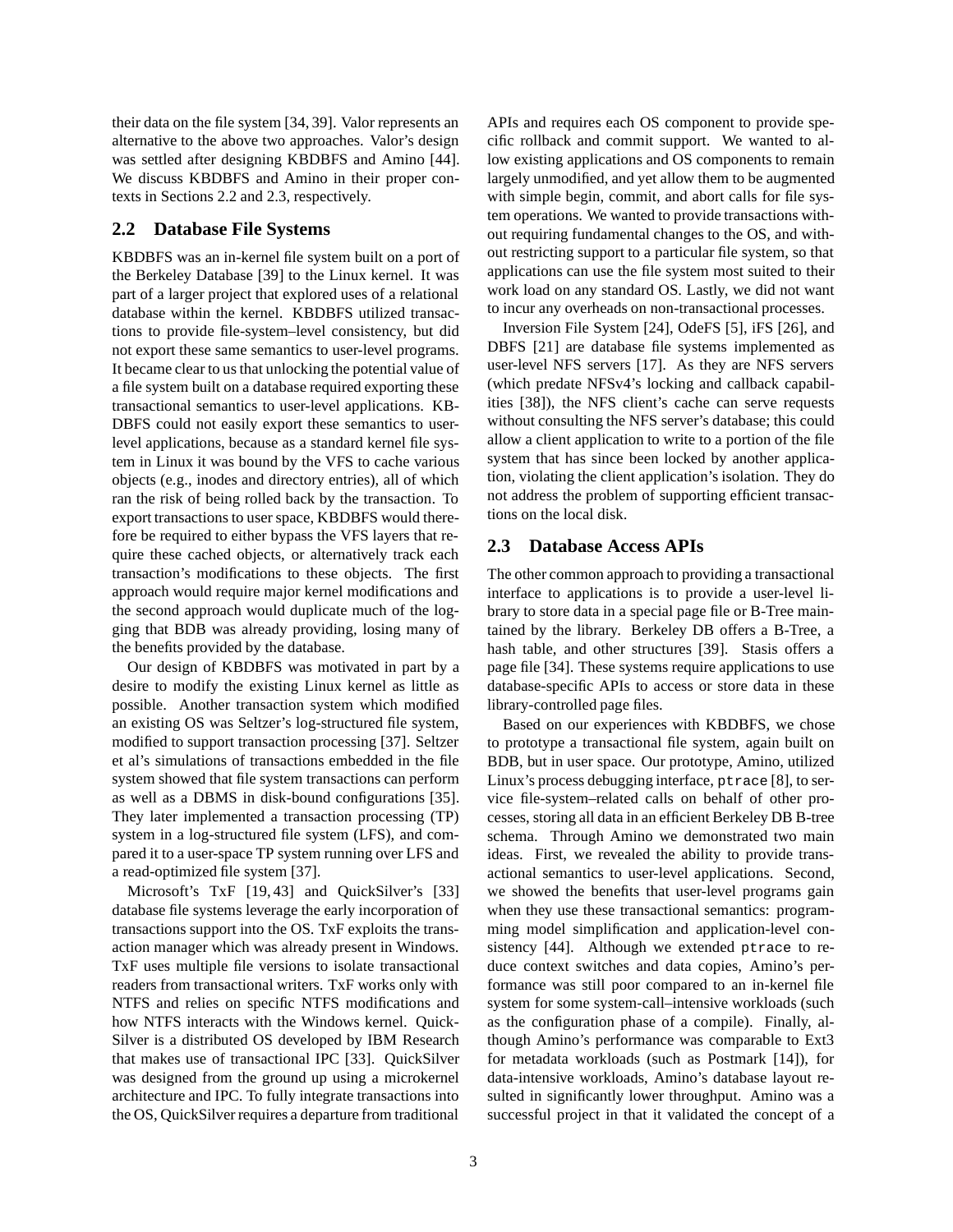their data on the file system [34, 39]. Valor represents an alternative to the above two approaches. Valor's design was settled after designing KBDBFS and Amino [44]. We discuss KBDBFS and Amino in their proper contexts in Sections 2.2 and 2.3, respectively.

# **2.2 Database File Systems**

KBDBFS was an in-kernel file system built on a port of the Berkeley Database [39] to the Linux kernel. It was part of a larger project that explored uses of a relational database within the kernel. KBDBFS utilized transactions to provide file-system–level consistency, but did not export these same semantics to user-level programs. It became clear to us that unlocking the potential value of a file system built on a database required exporting these transactional semantics to user-level applications. KB-DBFS could not easily export these semantics to userlevel applications, because as a standard kernel file system in Linux it was bound by the VFS to cache various objects (e.g., inodes and directory entries), all of which ran the risk of being rolled back by the transaction. To export transactions to user space, KBDBFS would therefore be required to either bypass the VFS layers that require these cached objects, or alternatively track each transaction's modifications to these objects. The first approach would require major kernel modifications and the second approach would duplicate much of the logging that BDB was already providing, losing many of the benefits provided by the database.

Our design of KBDBFS was motivated in part by a desire to modify the existing Linux kernel as little as possible. Another transaction system which modified an existing OS was Seltzer's log-structured file system, modified to support transaction processing [37]. Seltzer et al's simulations of transactions embedded in the file system showed that file system transactions can perform as well as a DBMS in disk-bound configurations [35]. They later implemented a transaction processing (TP) system in a log-structured file system (LFS), and compared it to a user-space TP system running over LFS and a read-optimized file system [37].

Microsoft's TxF [19,43] and QuickSilver's [33] database file systems leverage the early incorporation of transactions support into the OS. TxF exploits the transaction manager which was already present in Windows. TxF uses multiple file versions to isolate transactional readers from transactional writers. TxF works only with NTFS and relies on specific NTFS modifications and how NTFS interacts with the Windows kernel. Quick-Silver is a distributed OS developed by IBM Research that makes use of transactional IPC [33]. QuickSilver was designed from the ground up using a microkernel architecture and IPC. To fully integrate transactions into the OS, QuickSilver requires a departure from traditional

APIs and requires each OS component to provide specific rollback and commit support. We wanted to allow existing applications and OS components to remain largely unmodified, and yet allow them to be augmented with simple begin, commit, and abort calls for file system operations. We wanted to provide transactions without requiring fundamental changes to the OS, and without restricting support to a particular file system, so that applications can use the file system most suited to their work load on any standard OS. Lastly, we did not want to incur any overheads on non-transactional processes.

Inversion File System [24], OdeFS [5], iFS [26], and DBFS [21] are database file systems implemented as user-level NFS servers [17]. As they are NFS servers (which predate NFSv4's locking and callback capabilities [38]), the NFS client's cache can serve requests without consulting the NFS server's database; this could allow a client application to write to a portion of the file system that has since been locked by another application, violating the client application's isolation. They do not address the problem of supporting efficient transactions on the local disk.

# **2.3 Database Access APIs**

The other common approach to providing a transactional interface to applications is to provide a user-level library to store data in a special page file or B-Tree maintained by the library. Berkeley DB offers a B-Tree, a hash table, and other structures [39]. Stasis offers a page file [34]. These systems require applications to use database-specific APIs to access or store data in these library-controlled page files.

Based on our experiences with KBDBFS, we chose to prototype a transactional file system, again built on BDB, but in user space. Our prototype, Amino, utilized Linux's process debugging interface, ptrace [8], to service file-system–related calls on behalf of other processes, storing all data in an efficient Berkeley DB B-tree schema. Through Amino we demonstrated two main ideas. First, we revealed the ability to provide transactional semantics to user-level applications. Second, we showed the benefits that user-level programs gain when they use these transactional semantics: programming model simplification and application-level consistency [44]. Although we extended ptrace to reduce context switches and data copies, Amino's performance was still poor compared to an in-kernel file system for some system-call–intensive workloads (such as the configuration phase of a compile). Finally, although Amino's performance was comparable to Ext3 for metadata workloads (such as Postmark [14]), for data-intensive workloads, Amino's database layout resulted in significantly lower throughput. Amino was a successful project in that it validated the concept of a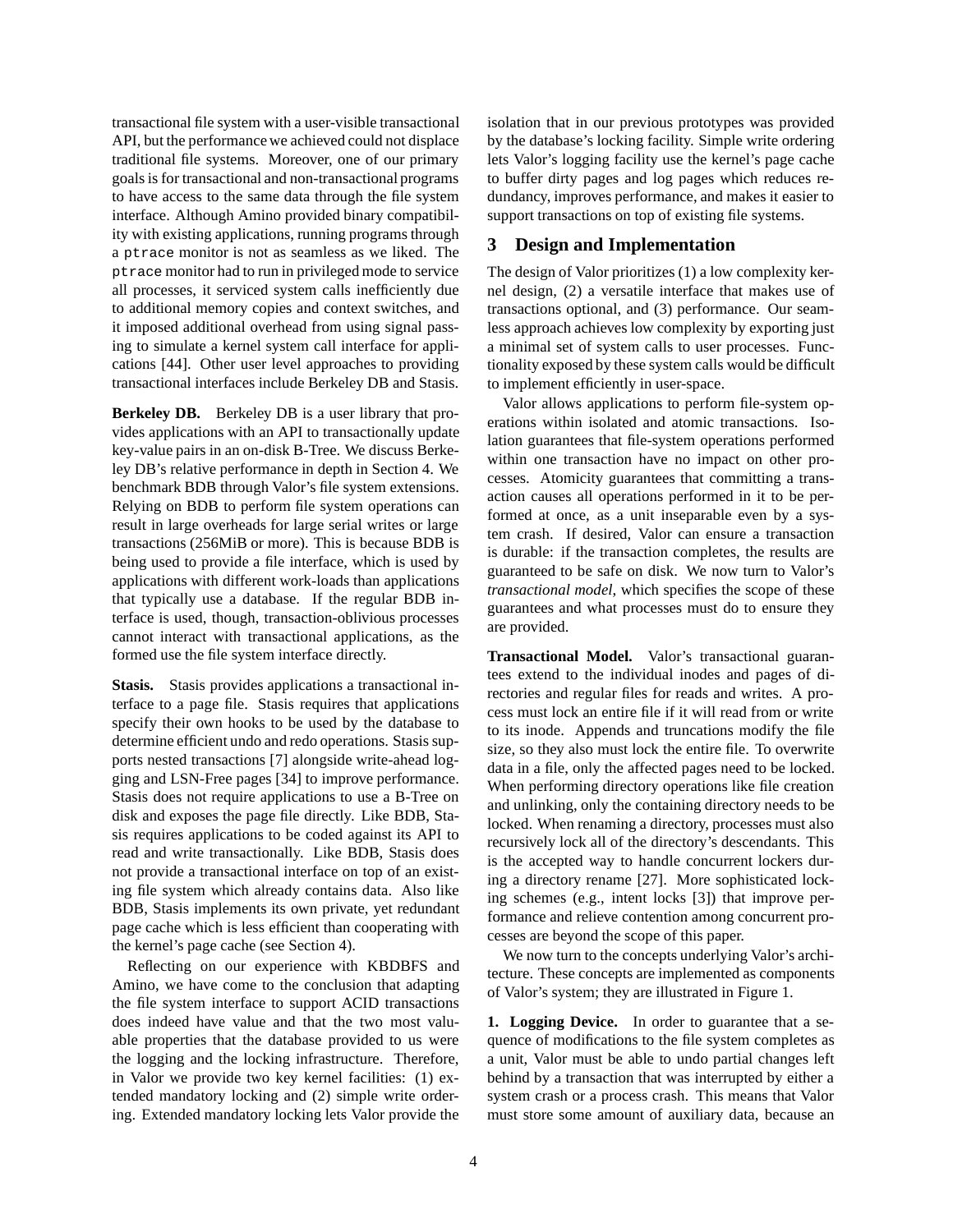transactional file system with a user-visible transactional API, but the performance we achieved could not displace traditional file systems. Moreover, one of our primary goals is for transactional and non-transactional programs to have access to the same data through the file system interface. Although Amino provided binary compatibility with existing applications, running programs through a ptrace monitor is not as seamless as we liked. The ptrace monitor had to run in privileged mode to service all processes, it serviced system calls inefficiently due to additional memory copies and context switches, and it imposed additional overhead from using signal passing to simulate a kernel system call interface for applications [44]. Other user level approaches to providing transactional interfaces include Berkeley DB and Stasis.

**Berkeley DB.** Berkeley DB is a user library that provides applications with an API to transactionally update key-value pairs in an on-disk B-Tree. We discuss Berkeley DB's relative performance in depth in Section 4. We benchmark BDB through Valor's file system extensions. Relying on BDB to perform file system operations can result in large overheads for large serial writes or large transactions (256MiB or more). This is because BDB is being used to provide a file interface, which is used by applications with different work-loads than applications that typically use a database. If the regular BDB interface is used, though, transaction-oblivious processes cannot interact with transactional applications, as the formed use the file system interface directly.

**Stasis.** Stasis provides applications a transactional interface to a page file. Stasis requires that applications specify their own hooks to be used by the database to determine efficient undo and redo operations. Stasis supports nested transactions [7] alongside write-ahead logging and LSN-Free pages [34] to improve performance. Stasis does not require applications to use a B-Tree on disk and exposes the page file directly. Like BDB, Stasis requires applications to be coded against its API to read and write transactionally. Like BDB, Stasis does not provide a transactional interface on top of an existing file system which already contains data. Also like BDB, Stasis implements its own private, yet redundant page cache which is less efficient than cooperating with the kernel's page cache (see Section 4).

Reflecting on our experience with KBDBFS and Amino, we have come to the conclusion that adapting the file system interface to support ACID transactions does indeed have value and that the two most valuable properties that the database provided to us were the logging and the locking infrastructure. Therefore, in Valor we provide two key kernel facilities: (1) extended mandatory locking and (2) simple write ordering. Extended mandatory locking lets Valor provide the isolation that in our previous prototypes was provided by the database's locking facility. Simple write ordering lets Valor's logging facility use the kernel's page cache to buffer dirty pages and log pages which reduces redundancy, improves performance, and makes it easier to support transactions on top of existing file systems.

#### **3 Design and Implementation**

The design of Valor prioritizes (1) a low complexity kernel design, (2) a versatile interface that makes use of transactions optional, and (3) performance. Our seamless approach achieves low complexity by exporting just a minimal set of system calls to user processes. Functionality exposed by these system calls would be difficult to implement efficiently in user-space.

Valor allows applications to perform file-system operations within isolated and atomic transactions. Isolation guarantees that file-system operations performed within one transaction have no impact on other processes. Atomicity guarantees that committing a transaction causes all operations performed in it to be performed at once, as a unit inseparable even by a system crash. If desired, Valor can ensure a transaction is durable: if the transaction completes, the results are guaranteed to be safe on disk. We now turn to Valor's *transactional model*, which specifies the scope of these guarantees and what processes must do to ensure they are provided.

**Transactional Model.** Valor's transactional guarantees extend to the individual inodes and pages of directories and regular files for reads and writes. A process must lock an entire file if it will read from or write to its inode. Appends and truncations modify the file size, so they also must lock the entire file. To overwrite data in a file, only the affected pages need to be locked. When performing directory operations like file creation and unlinking, only the containing directory needs to be locked. When renaming a directory, processes must also recursively lock all of the directory's descendants. This is the accepted way to handle concurrent lockers during a directory rename [27]. More sophisticated locking schemes (e.g., intent locks [3]) that improve performance and relieve contention among concurrent processes are beyond the scope of this paper.

We now turn to the concepts underlying Valor's architecture. These concepts are implemented as components of Valor's system; they are illustrated in Figure 1.

**1. Logging Device.** In order to guarantee that a sequence of modifications to the file system completes as a unit, Valor must be able to undo partial changes left behind by a transaction that was interrupted by either a system crash or a process crash. This means that Valor must store some amount of auxiliary data, because an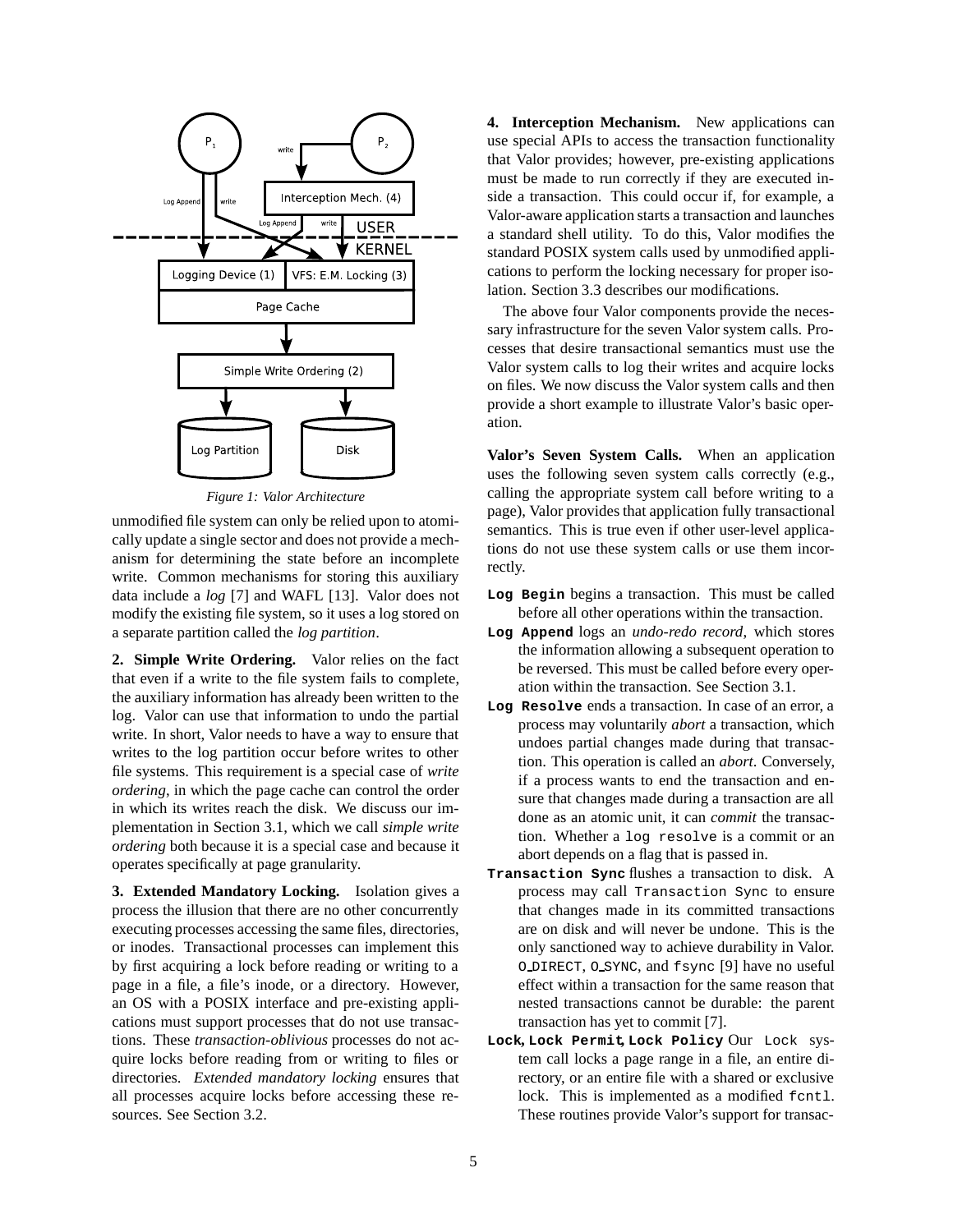

*Figure 1: Valor Architecture*

unmodified file system can only be relied upon to atomically update a single sector and does not provide a mechanism for determining the state before an incomplete write. Common mechanisms for storing this auxiliary data include a *log* [7] and WAFL [13]. Valor does not modify the existing file system, so it uses a log stored on a separate partition called the *log partition*.

**2. Simple Write Ordering.** Valor relies on the fact that even if a write to the file system fails to complete, the auxiliary information has already been written to the log. Valor can use that information to undo the partial write. In short, Valor needs to have a way to ensure that writes to the log partition occur before writes to other file systems. This requirement is a special case of *write ordering*, in which the page cache can control the order in which its writes reach the disk. We discuss our implementation in Section 3.1, which we call *simple write ordering* both because it is a special case and because it operates specifically at page granularity.

**3. Extended Mandatory Locking.** Isolation gives a process the illusion that there are no other concurrently executing processes accessing the same files, directories, or inodes. Transactional processes can implement this by first acquiring a lock before reading or writing to a page in a file, a file's inode, or a directory. However, an OS with a POSIX interface and pre-existing applications must support processes that do not use transactions. These *transaction-oblivious* processes do not acquire locks before reading from or writing to files or directories. *Extended mandatory locking* ensures that all processes acquire locks before accessing these resources. See Section 3.2.

**4. Interception Mechanism.** New applications can use special APIs to access the transaction functionality that Valor provides; however, pre-existing applications must be made to run correctly if they are executed inside a transaction. This could occur if, for example, a Valor-aware application starts a transaction and launches a standard shell utility. To do this, Valor modifies the standard POSIX system calls used by unmodified applications to perform the locking necessary for proper isolation. Section 3.3 describes our modifications.

The above four Valor components provide the necessary infrastructure for the seven Valor system calls. Processes that desire transactional semantics must use the Valor system calls to log their writes and acquire locks on files. We now discuss the Valor system calls and then provide a short example to illustrate Valor's basic operation.

**Valor's Seven System Calls.** When an application uses the following seven system calls correctly (e.g., calling the appropriate system call before writing to a page), Valor provides that application fully transactional semantics. This is true even if other user-level applications do not use these system calls or use them incorrectly.

- **Log Begin** begins a transaction. This must be called before all other operations within the transaction.
- **Log Append** logs an *undo-redo record*, which stores the information allowing a subsequent operation to be reversed. This must be called before every operation within the transaction. See Section 3.1.
- **Log Resolve** ends a transaction. In case of an error, a process may voluntarily *abort* a transaction, which undoes partial changes made during that transaction. This operation is called an *abort*. Conversely, if a process wants to end the transaction and ensure that changes made during a transaction are all done as an atomic unit, it can *commit* the transaction. Whether a log resolve is a commit or an abort depends on a flag that is passed in.
- **Transaction Sync** flushes a transaction to disk. A process may call Transaction Sync to ensure that changes made in its committed transactions are on disk and will never be undone. This is the only sanctioned way to achieve durability in Valor. O DIRECT, O SYNC, and fsync [9] have no useful effect within a transaction for the same reason that nested transactions cannot be durable: the parent transaction has yet to commit [7].
- **Lock, Lock Permit, Lock Policy** Our Lock system call locks a page range in a file, an entire directory, or an entire file with a shared or exclusive lock. This is implemented as a modified fcntl. These routines provide Valor's support for transac-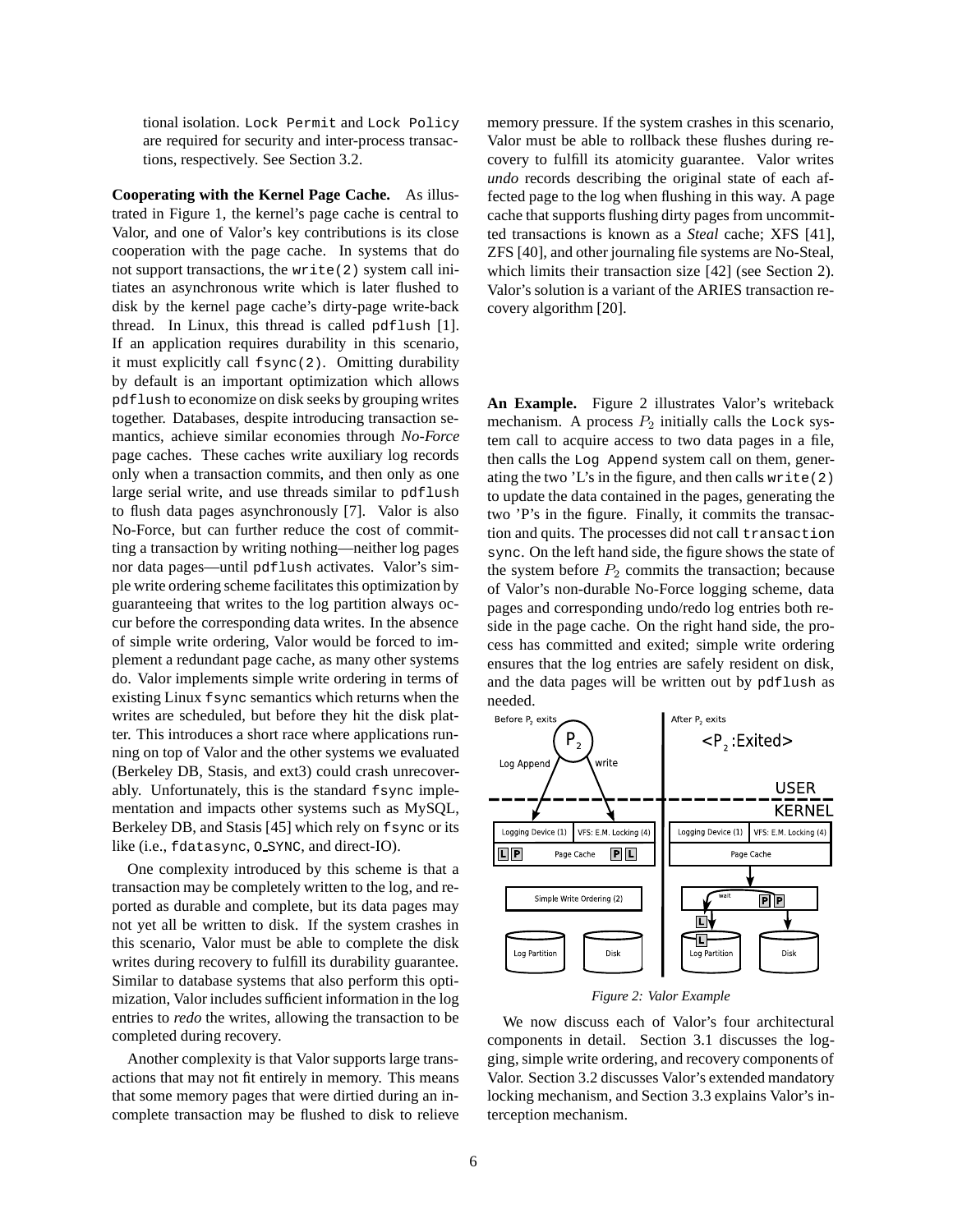tional isolation. Lock Permit and Lock Policy are required for security and inter-process transactions, respectively. See Section 3.2.

**Cooperating with the Kernel Page Cache.** As illustrated in Figure 1, the kernel's page cache is central to Valor, and one of Valor's key contributions is its close cooperation with the page cache. In systems that do not support transactions, the write(2) system call initiates an asynchronous write which is later flushed to disk by the kernel page cache's dirty-page write-back thread. In Linux, this thread is called pdflush [1]. If an application requires durability in this scenario, it must explicitly call fsync(2). Omitting durability by default is an important optimization which allows pdflush to economize on disk seeks by grouping writes together. Databases, despite introducing transaction semantics, achieve similar economies through *No-Force* page caches. These caches write auxiliary log records only when a transaction commits, and then only as one large serial write, and use threads similar to pdflush to flush data pages asynchronously [7]. Valor is also No-Force, but can further reduce the cost of committing a transaction by writing nothing—neither log pages nor data pages—until pdflush activates. Valor's simple write ordering scheme facilitates this optimization by guaranteeing that writes to the log partition always occur before the corresponding data writes. In the absence of simple write ordering, Valor would be forced to implement a redundant page cache, as many other systems do. Valor implements simple write ordering in terms of existing Linux fsync semantics which returns when the writes are scheduled, but before they hit the disk platter. This introduces a short race where applications running on top of Valor and the other systems we evaluated (Berkeley DB, Stasis, and ext3) could crash unrecoverably. Unfortunately, this is the standard fsync implementation and impacts other systems such as MySQL, Berkeley DB, and Stasis [45] which rely on fsync or its like (i.e., fdatasync, O SYNC, and direct-IO).

One complexity introduced by this scheme is that a transaction may be completely written to the log, and reported as durable and complete, but its data pages may not yet all be written to disk. If the system crashes in this scenario, Valor must be able to complete the disk writes during recovery to fulfill its durability guarantee. Similar to database systems that also perform this optimization, Valor includes sufficient information in the log entries to *redo* the writes, allowing the transaction to be completed during recovery.

Another complexity is that Valor supports large transactions that may not fit entirely in memory. This means that some memory pages that were dirtied during an incomplete transaction may be flushed to disk to relieve memory pressure. If the system crashes in this scenario, Valor must be able to rollback these flushes during recovery to fulfill its atomicity guarantee. Valor writes *undo* records describing the original state of each affected page to the log when flushing in this way. A page cache that supports flushing dirty pages from uncommitted transactions is known as a *Steal* cache; XFS [41], ZFS [40], and other journaling file systems are No-Steal, which limits their transaction size [42] (see Section 2). Valor's solution is a variant of the ARIES transaction recovery algorithm [20].

**An Example.** Figure 2 illustrates Valor's writeback mechanism. A process  $P_2$  initially calls the Lock system call to acquire access to two data pages in a file, then calls the Log Append system call on them, generating the two 'L's in the figure, and then calls write(2) to update the data contained in the pages, generating the two 'P's in the figure. Finally, it commits the transaction and quits. The processes did not call transaction sync. On the left hand side, the figure shows the state of the system before  $P_2$  commits the transaction; because of Valor's non-durable No-Force logging scheme, data pages and corresponding undo/redo log entries both reside in the page cache. On the right hand side, the process has committed and exited; simple write ordering ensures that the log entries are safely resident on disk, and the data pages will be written out by pdflush as needed.



#### *Figure 2: Valor Example*

We now discuss each of Valor's four architectural components in detail. Section 3.1 discusses the logging, simple write ordering, and recovery components of Valor. Section 3.2 discusses Valor's extended mandatory locking mechanism, and Section 3.3 explains Valor's interception mechanism.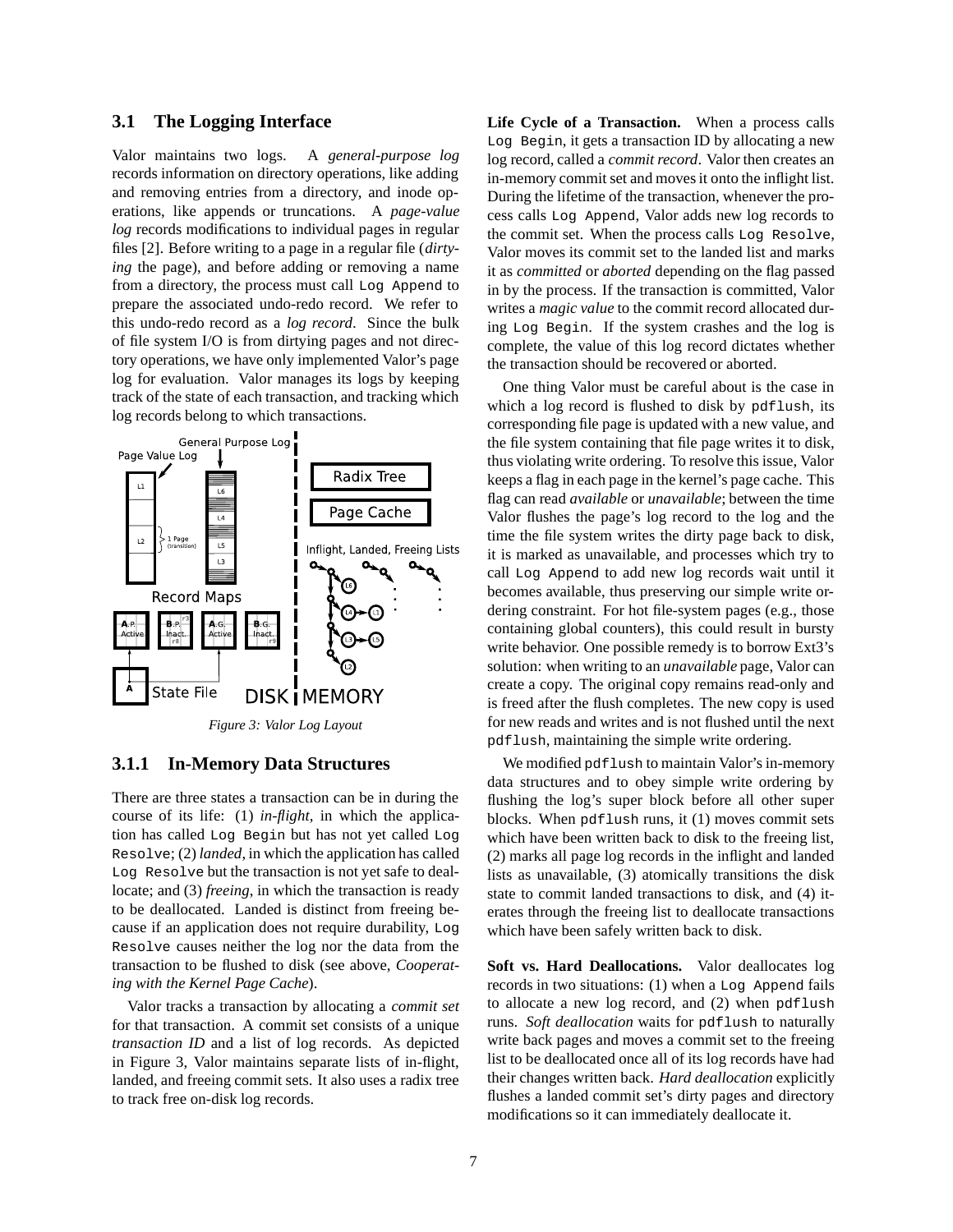# **3.1 The Logging Interface**

Valor maintains two logs. A *general-purpose log* records information on directory operations, like adding and removing entries from a directory, and inode operations, like appends or truncations. A *page-value log* records modifications to individual pages in regular files [2]. Before writing to a page in a regular file (*dirtying* the page), and before adding or removing a name from a directory, the process must call Log Append to prepare the associated undo-redo record. We refer to this undo-redo record as a *log record*. Since the bulk of file system I/O is from dirtying pages and not directory operations, we have only implemented Valor's page log for evaluation. Valor manages its logs by keeping track of the state of each transaction, and tracking which log records belong to which transactions.



# **3.1.1 In-Memory Data Structures**

There are three states a transaction can be in during the course of its life: (1) *in-flight*, in which the application has called Log Begin but has not yet called Log Resolve; (2) *landed*, in which the application has called Log Resolve but the transaction is not yet safe to deallocate; and (3) *freeing*, in which the transaction is ready to be deallocated. Landed is distinct from freeing because if an application does not require durability, Log Resolve causes neither the log nor the data from the transaction to be flushed to disk (see above, *Cooperating with the Kernel Page Cache*).

Valor tracks a transaction by allocating a *commit set* for that transaction. A commit set consists of a unique *transaction ID* and a list of log records. As depicted in Figure 3, Valor maintains separate lists of in-flight, landed, and freeing commit sets. It also uses a radix tree to track free on-disk log records.

**Life Cycle of a Transaction.** When a process calls Log Begin, it gets a transaction ID by allocating a new log record, called a *commit record*. Valor then creates an in-memory commit set and moves it onto the inflight list. During the lifetime of the transaction, whenever the process calls Log Append, Valor adds new log records to the commit set. When the process calls Log Resolve, Valor moves its commit set to the landed list and marks it as *committed* or *aborted* depending on the flag passed in by the process. If the transaction is committed, Valor writes a *magic value* to the commit record allocated during Log Begin. If the system crashes and the log is complete, the value of this log record dictates whether the transaction should be recovered or aborted.

One thing Valor must be careful about is the case in which a log record is flushed to disk by pdflush, its corresponding file page is updated with a new value, and the file system containing that file page writes it to disk, thus violating write ordering. To resolve this issue, Valor keeps a flag in each page in the kernel's page cache. This flag can read *available* or *unavailable*; between the time Valor flushes the page's log record to the log and the time the file system writes the dirty page back to disk, it is marked as unavailable, and processes which try to call Log Append to add new log records wait until it becomes available, thus preserving our simple write ordering constraint. For hot file-system pages (e.g., those containing global counters), this could result in bursty write behavior. One possible remedy is to borrow Ext3's solution: when writing to an *unavailable* page, Valor can create a copy. The original copy remains read-only and is freed after the flush completes. The new copy is used for new reads and writes and is not flushed until the next pdflush, maintaining the simple write ordering.

We modified pdflush to maintain Valor's in-memory data structures and to obey simple write ordering by flushing the log's super block before all other super blocks. When pdflush runs, it (1) moves commit sets which have been written back to disk to the freeing list, (2) marks all page log records in the inflight and landed lists as unavailable, (3) atomically transitions the disk state to commit landed transactions to disk, and (4) iterates through the freeing list to deallocate transactions which have been safely written back to disk.

Soft vs. Hard Deallocations. Valor deallocates log records in two situations: (1) when a Log Append fails to allocate a new log record, and (2) when pdflush runs. *Soft deallocation* waits for pdflush to naturally write back pages and moves a commit set to the freeing list to be deallocated once all of its log records have had their changes written back. *Hard deallocation* explicitly flushes a landed commit set's dirty pages and directory modifications so it can immediately deallocate it.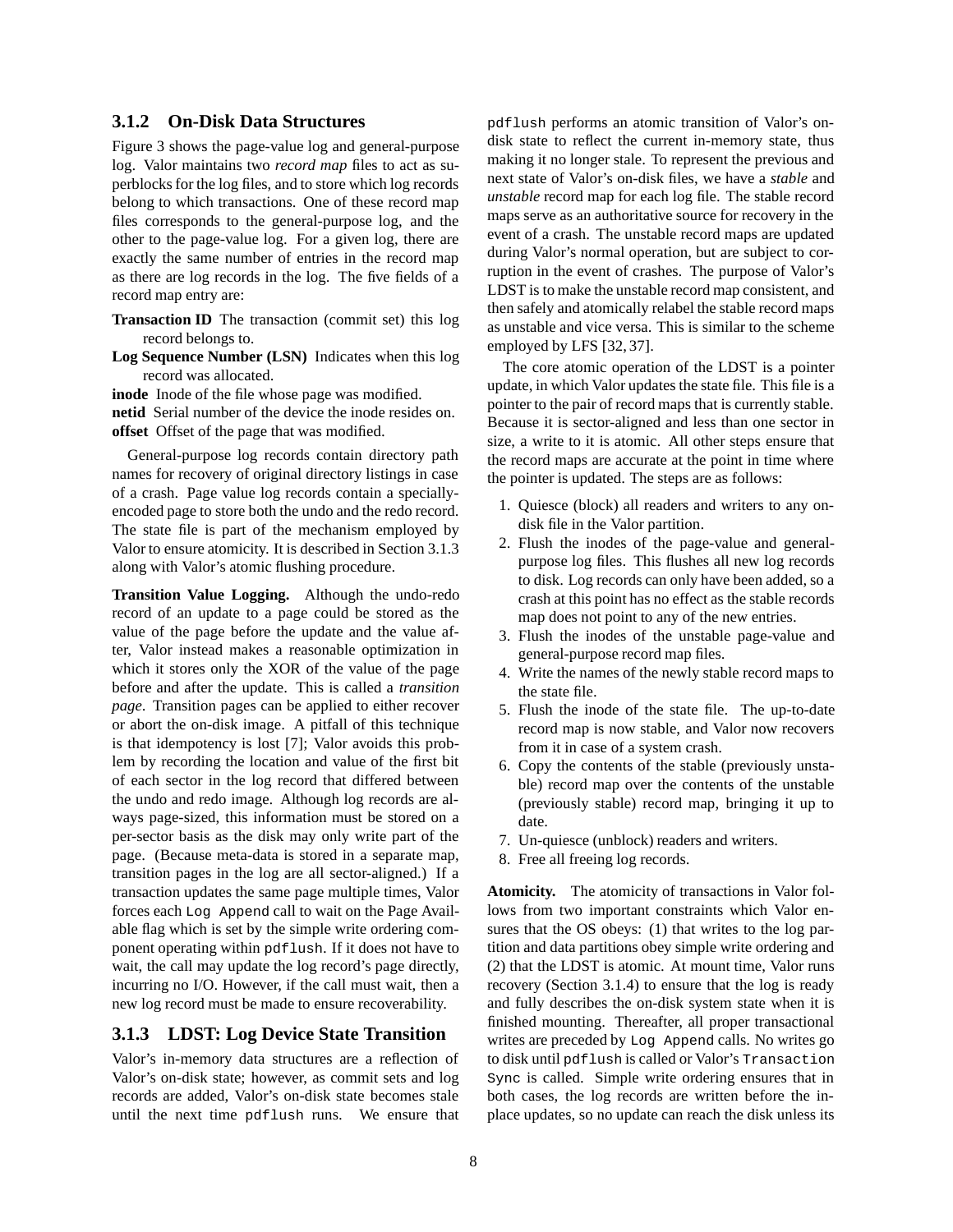## **3.1.2 On-Disk Data Structures**

Figure 3 shows the page-value log and general-purpose log. Valor maintains two *record map* files to act as superblocks for the log files, and to store which log records belong to which transactions. One of these record map files corresponds to the general-purpose log, and the other to the page-value log. For a given log, there are exactly the same number of entries in the record map as there are log records in the log. The five fields of a record map entry are:

- **Transaction ID** The transaction (commit set) this log record belongs to.
- **Log Sequence Number (LSN)** Indicates when this log record was allocated.

**inode** Inode of the file whose page was modified. **netid** Serial number of the device the inode resides on. **offset** Offset of the page that was modified.

General-purpose log records contain directory path names for recovery of original directory listings in case of a crash. Page value log records contain a speciallyencoded page to store both the undo and the redo record. The state file is part of the mechanism employed by Valor to ensure atomicity. It is described in Section 3.1.3 along with Valor's atomic flushing procedure.

**Transition Value Logging.** Although the undo-redo record of an update to a page could be stored as the value of the page before the update and the value after, Valor instead makes a reasonable optimization in which it stores only the XOR of the value of the page before and after the update. This is called a *transition page*. Transition pages can be applied to either recover or abort the on-disk image. A pitfall of this technique is that idempotency is lost [7]; Valor avoids this problem by recording the location and value of the first bit of each sector in the log record that differed between the undo and redo image. Although log records are always page-sized, this information must be stored on a per-sector basis as the disk may only write part of the page. (Because meta-data is stored in a separate map, transition pages in the log are all sector-aligned.) If a transaction updates the same page multiple times, Valor forces each Log Append call to wait on the Page Available flag which is set by the simple write ordering component operating within pdflush. If it does not have to wait, the call may update the log record's page directly, incurring no I/O. However, if the call must wait, then a new log record must be made to ensure recoverability.

## **3.1.3 LDST: Log Device State Transition**

Valor's in-memory data structures are a reflection of Valor's on-disk state; however, as commit sets and log records are added, Valor's on-disk state becomes stale until the next time pdflush runs. We ensure that

pdflush performs an atomic transition of Valor's ondisk state to reflect the current in-memory state, thus making it no longer stale. To represent the previous and next state of Valor's on-disk files, we have a *stable* and *unstable* record map for each log file. The stable record maps serve as an authoritative source for recovery in the event of a crash. The unstable record maps are updated during Valor's normal operation, but are subject to corruption in the event of crashes. The purpose of Valor's LDST is to make the unstable record map consistent, and then safely and atomically relabel the stable record maps as unstable and vice versa. This is similar to the scheme employed by LFS [32, 37].

The core atomic operation of the LDST is a pointer update, in which Valor updates the state file. This file is a pointer to the pair of record maps that is currently stable. Because it is sector-aligned and less than one sector in size, a write to it is atomic. All other steps ensure that the record maps are accurate at the point in time where the pointer is updated. The steps are as follows:

- 1. Quiesce (block) all readers and writers to any ondisk file in the Valor partition.
- 2. Flush the inodes of the page-value and generalpurpose log files. This flushes all new log records to disk. Log records can only have been added, so a crash at this point has no effect as the stable records map does not point to any of the new entries.
- 3. Flush the inodes of the unstable page-value and general-purpose record map files.
- 4. Write the names of the newly stable record maps to the state file.
- 5. Flush the inode of the state file. The up-to-date record map is now stable, and Valor now recovers from it in case of a system crash.
- 6. Copy the contents of the stable (previously unstable) record map over the contents of the unstable (previously stable) record map, bringing it up to date.
- 7. Un-quiesce (unblock) readers and writers.
- 8. Free all freeing log records.

**Atomicity.** The atomicity of transactions in Valor follows from two important constraints which Valor ensures that the OS obeys: (1) that writes to the log partition and data partitions obey simple write ordering and (2) that the LDST is atomic. At mount time, Valor runs recovery (Section 3.1.4) to ensure that the log is ready and fully describes the on-disk system state when it is finished mounting. Thereafter, all proper transactional writes are preceded by Log Append calls. No writes go to disk until pdflush is called or Valor's Transaction Sync is called. Simple write ordering ensures that in both cases, the log records are written before the inplace updates, so no update can reach the disk unless its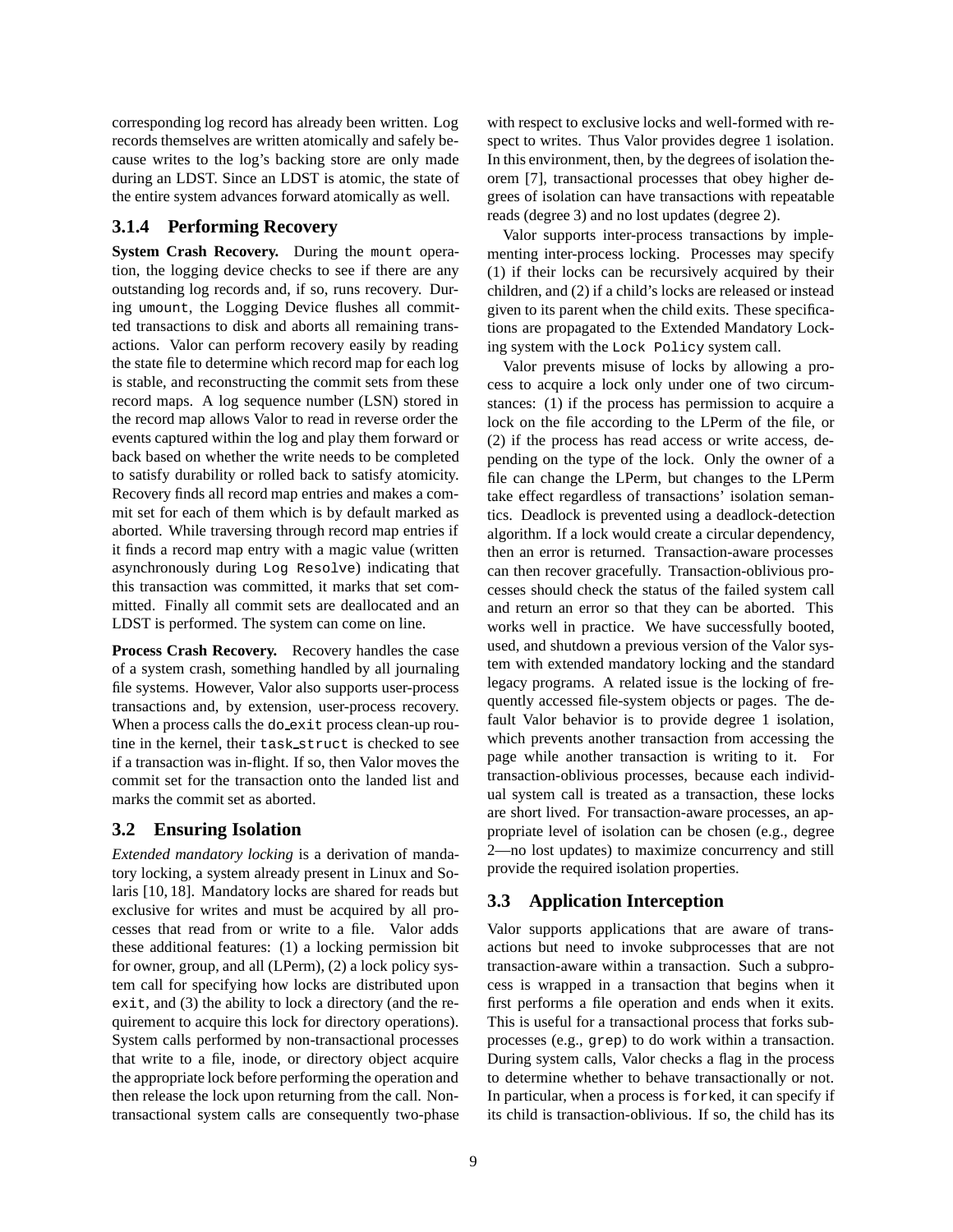corresponding log record has already been written. Log records themselves are written atomically and safely because writes to the log's backing store are only made during an LDST. Since an LDST is atomic, the state of the entire system advances forward atomically as well.

# **3.1.4 Performing Recovery**

**System Crash Recovery.** During the mount operation, the logging device checks to see if there are any outstanding log records and, if so, runs recovery. During umount, the Logging Device flushes all committed transactions to disk and aborts all remaining transactions. Valor can perform recovery easily by reading the state file to determine which record map for each log is stable, and reconstructing the commit sets from these record maps. A log sequence number (LSN) stored in the record map allows Valor to read in reverse order the events captured within the log and play them forward or back based on whether the write needs to be completed to satisfy durability or rolled back to satisfy atomicity. Recovery finds all record map entries and makes a commit set for each of them which is by default marked as aborted. While traversing through record map entries if it finds a record map entry with a magic value (written asynchronously during Log Resolve) indicating that this transaction was committed, it marks that set committed. Finally all commit sets are deallocated and an LDST is performed. The system can come on line.

**Process Crash Recovery.** Recovery handles the case of a system crash, something handled by all journaling file systems. However, Valor also supports user-process transactions and, by extension, user-process recovery. When a process calls the do\_exit process clean-up routine in the kernel, their task struct is checked to see if a transaction was in-flight. If so, then Valor moves the commit set for the transaction onto the landed list and marks the commit set as aborted.

# **3.2 Ensuring Isolation**

*Extended mandatory locking* is a derivation of mandatory locking, a system already present in Linux and Solaris [10, 18]. Mandatory locks are shared for reads but exclusive for writes and must be acquired by all processes that read from or write to a file. Valor adds these additional features: (1) a locking permission bit for owner, group, and all (LPerm), (2) a lock policy system call for specifying how locks are distributed upon exit, and (3) the ability to lock a directory (and the requirement to acquire this lock for directory operations). System calls performed by non-transactional processes that write to a file, inode, or directory object acquire the appropriate lock before performing the operation and then release the lock upon returning from the call. Nontransactional system calls are consequently two-phase with respect to exclusive locks and well-formed with respect to writes. Thus Valor provides degree 1 isolation. In this environment, then, by the degrees of isolation theorem [7], transactional processes that obey higher degrees of isolation can have transactions with repeatable reads (degree 3) and no lost updates (degree 2).

Valor supports inter-process transactions by implementing inter-process locking. Processes may specify (1) if their locks can be recursively acquired by their children, and (2) if a child's locks are released or instead given to its parent when the child exits. These specifications are propagated to the Extended Mandatory Locking system with the Lock Policy system call.

Valor prevents misuse of locks by allowing a process to acquire a lock only under one of two circumstances: (1) if the process has permission to acquire a lock on the file according to the LPerm of the file, or (2) if the process has read access or write access, depending on the type of the lock. Only the owner of a file can change the LPerm, but changes to the LPerm take effect regardless of transactions' isolation semantics. Deadlock is prevented using a deadlock-detection algorithm. If a lock would create a circular dependency, then an error is returned. Transaction-aware processes can then recover gracefully. Transaction-oblivious processes should check the status of the failed system call and return an error so that they can be aborted. This works well in practice. We have successfully booted, used, and shutdown a previous version of the Valor system with extended mandatory locking and the standard legacy programs. A related issue is the locking of frequently accessed file-system objects or pages. The default Valor behavior is to provide degree 1 isolation, which prevents another transaction from accessing the page while another transaction is writing to it. For transaction-oblivious processes, because each individual system call is treated as a transaction, these locks are short lived. For transaction-aware processes, an appropriate level of isolation can be chosen (e.g., degree 2—no lost updates) to maximize concurrency and still provide the required isolation properties.

# **3.3 Application Interception**

Valor supports applications that are aware of transactions but need to invoke subprocesses that are not transaction-aware within a transaction. Such a subprocess is wrapped in a transaction that begins when it first performs a file operation and ends when it exits. This is useful for a transactional process that forks subprocesses (e.g., grep) to do work within a transaction. During system calls, Valor checks a flag in the process to determine whether to behave transactionally or not. In particular, when a process is forked, it can specify if its child is transaction-oblivious. If so, the child has its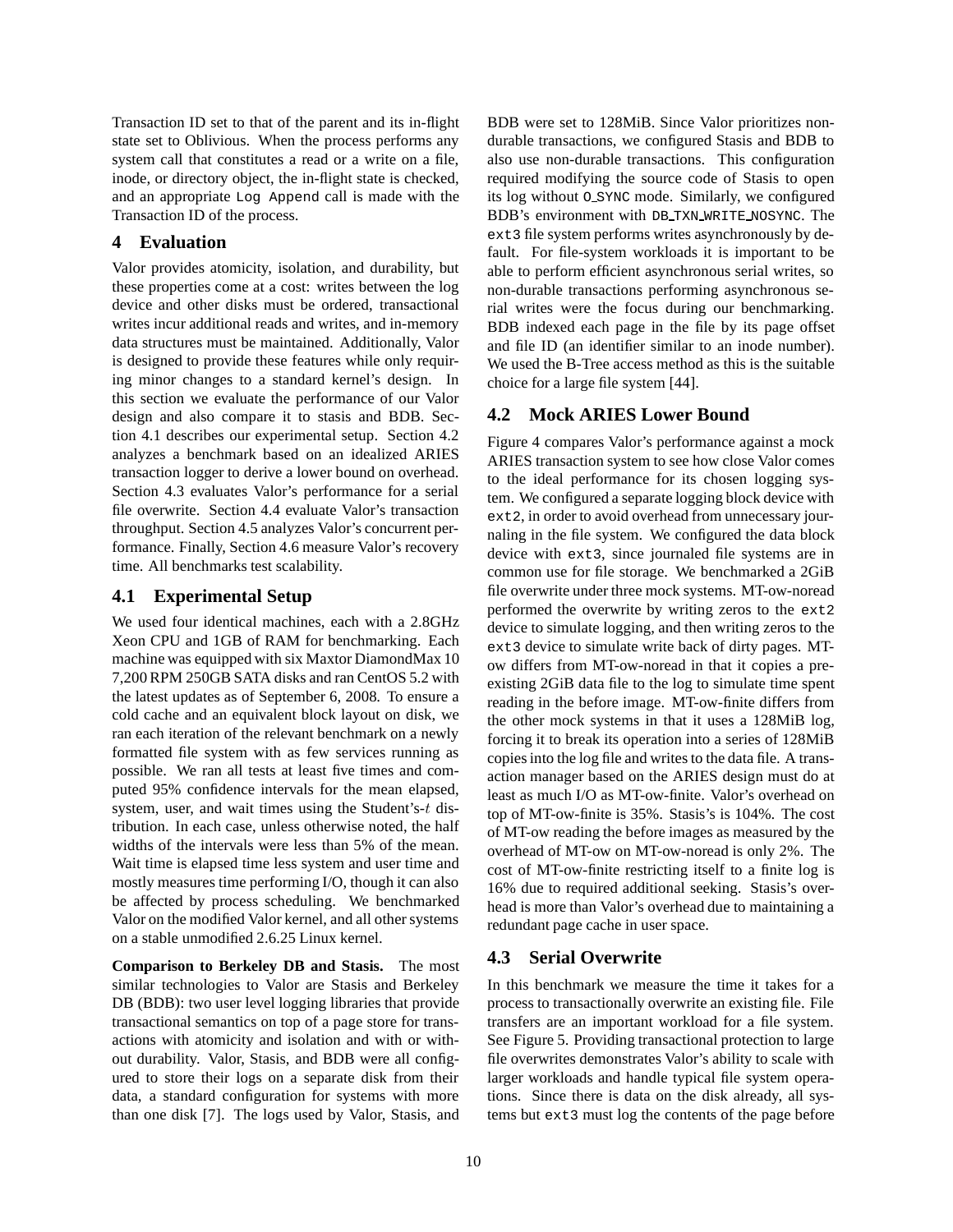Transaction ID set to that of the parent and its in-flight state set to Oblivious. When the process performs any system call that constitutes a read or a write on a file, inode, or directory object, the in-flight state is checked, and an appropriate Log Append call is made with the Transaction ID of the process.

# **4 Evaluation**

Valor provides atomicity, isolation, and durability, but these properties come at a cost: writes between the log device and other disks must be ordered, transactional writes incur additional reads and writes, and in-memory data structures must be maintained. Additionally, Valor is designed to provide these features while only requiring minor changes to a standard kernel's design. In this section we evaluate the performance of our Valor design and also compare it to stasis and BDB. Section 4.1 describes our experimental setup. Section 4.2 analyzes a benchmark based on an idealized ARIES transaction logger to derive a lower bound on overhead. Section 4.3 evaluates Valor's performance for a serial file overwrite. Section 4.4 evaluate Valor's transaction throughput. Section 4.5 analyzes Valor's concurrent performance. Finally, Section 4.6 measure Valor's recovery time. All benchmarks test scalability.

# **4.1 Experimental Setup**

We used four identical machines, each with a 2.8GHz Xeon CPU and 1GB of RAM for benchmarking. Each machine was equipped with six Maxtor DiamondMax 10 7,200 RPM 250GB SATA disks and ran CentOS 5.2 with the latest updates as of September 6, 2008. To ensure a cold cache and an equivalent block layout on disk, we ran each iteration of the relevant benchmark on a newly formatted file system with as few services running as possible. We ran all tests at least five times and computed 95% confidence intervals for the mean elapsed, system, user, and wait times using the Student's-t distribution. In each case, unless otherwise noted, the half widths of the intervals were less than 5% of the mean. Wait time is elapsed time less system and user time and mostly measures time performing I/O, though it can also be affected by process scheduling. We benchmarked Valor on the modified Valor kernel, and all other systems on a stable unmodified 2.6.25 Linux kernel.

**Comparison to Berkeley DB and Stasis.** The most similar technologies to Valor are Stasis and Berkeley DB (BDB): two user level logging libraries that provide transactional semantics on top of a page store for transactions with atomicity and isolation and with or without durability. Valor, Stasis, and BDB were all configured to store their logs on a separate disk from their data, a standard configuration for systems with more than one disk [7]. The logs used by Valor, Stasis, and BDB were set to 128MiB. Since Valor prioritizes nondurable transactions, we configured Stasis and BDB to also use non-durable transactions. This configuration required modifying the source code of Stasis to open its log without O SYNC mode. Similarly, we configured BDB's environment with DB TXN WRITE NOSYNC. The ext3 file system performs writes asynchronously by default. For file-system workloads it is important to be able to perform efficient asynchronous serial writes, so non-durable transactions performing asynchronous serial writes were the focus during our benchmarking. BDB indexed each page in the file by its page offset and file ID (an identifier similar to an inode number). We used the B-Tree access method as this is the suitable choice for a large file system [44].

# **4.2 Mock ARIES Lower Bound**

Figure 4 compares Valor's performance against a mock ARIES transaction system to see how close Valor comes to the ideal performance for its chosen logging system. We configured a separate logging block device with ext2, in order to avoid overhead from unnecessary journaling in the file system. We configured the data block device with ext3, since journaled file systems are in common use for file storage. We benchmarked a 2GiB file overwrite under three mock systems. MT-ow-noread performed the overwrite by writing zeros to the ext2 device to simulate logging, and then writing zeros to the ext3 device to simulate write back of dirty pages. MTow differs from MT-ow-noread in that it copies a preexisting 2GiB data file to the log to simulate time spent reading in the before image. MT-ow-finite differs from the other mock systems in that it uses a 128MiB log, forcing it to break its operation into a series of 128MiB copies into the log file and writes to the data file. A transaction manager based on the ARIES design must do at least as much I/O as MT-ow-finite. Valor's overhead on top of MT-ow-finite is 35%. Stasis's is 104%. The cost of MT-ow reading the before images as measured by the overhead of MT-ow on MT-ow-noread is only 2%. The cost of MT-ow-finite restricting itself to a finite log is 16% due to required additional seeking. Stasis's overhead is more than Valor's overhead due to maintaining a redundant page cache in user space.

# **4.3 Serial Overwrite**

In this benchmark we measure the time it takes for a process to transactionally overwrite an existing file. File transfers are an important workload for a file system. See Figure 5. Providing transactional protection to large file overwrites demonstrates Valor's ability to scale with larger workloads and handle typical file system operations. Since there is data on the disk already, all systems but ext3 must log the contents of the page before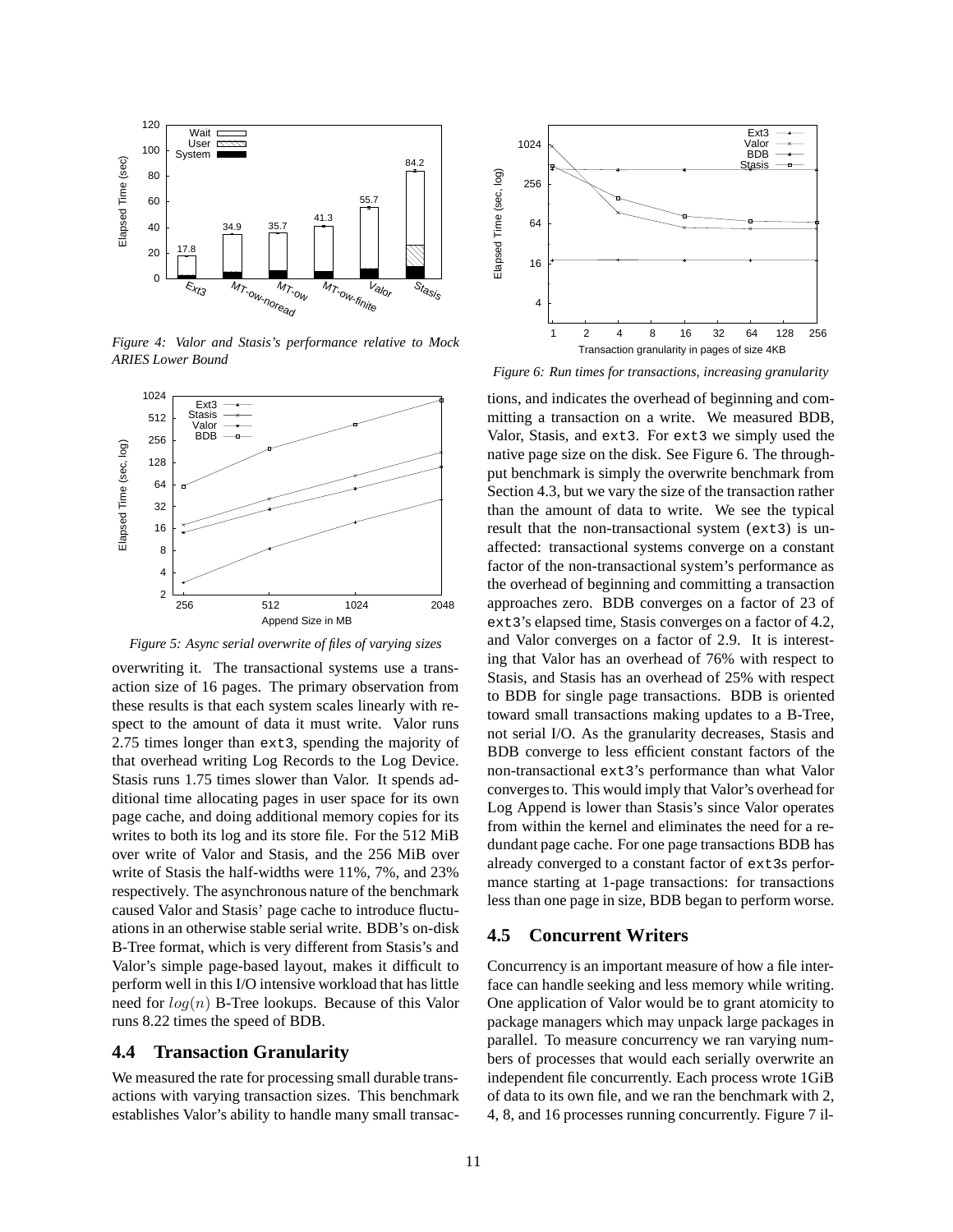

*Figure 4: Valor and Stasis's performance relative to Mock ARIES Lower Bound*



*Figure 5: Async serial overwrite of files of varying sizes*

overwriting it. The transactional systems use a transaction size of 16 pages. The primary observation from these results is that each system scales linearly with respect to the amount of data it must write. Valor runs 2.75 times longer than ext3, spending the majority of that overhead writing Log Records to the Log Device. Stasis runs 1.75 times slower than Valor. It spends additional time allocating pages in user space for its own page cache, and doing additional memory copies for its writes to both its log and its store file. For the 512 MiB over write of Valor and Stasis, and the 256 MiB over write of Stasis the half-widths were 11%, 7%, and 23% respectively. The asynchronous nature of the benchmark caused Valor and Stasis' page cache to introduce fluctuations in an otherwise stable serial write. BDB's on-disk B-Tree format, which is very different from Stasis's and Valor's simple page-based layout, makes it difficult to perform well in this I/O intensive workload that has little need for  $log(n)$  B-Tree lookups. Because of this Valor runs 8.22 times the speed of BDB.

#### **4.4 Transaction Granularity**

We measured the rate for processing small durable transactions with varying transaction sizes. This benchmark establishes Valor's ability to handle many small transac-



*Figure 6: Run times for transactions, increasing granularity*

tions, and indicates the overhead of beginning and committing a transaction on a write. We measured BDB, Valor, Stasis, and ext3. For ext3 we simply used the native page size on the disk. See Figure 6. The throughput benchmark is simply the overwrite benchmark from Section 4.3, but we vary the size of the transaction rather than the amount of data to write. We see the typical result that the non-transactional system (ext3) is unaffected: transactional systems converge on a constant factor of the non-transactional system's performance as the overhead of beginning and committing a transaction approaches zero. BDB converges on a factor of 23 of ext3's elapsed time, Stasis converges on a factor of 4.2, and Valor converges on a factor of 2.9. It is interesting that Valor has an overhead of 76% with respect to Stasis, and Stasis has an overhead of 25% with respect to BDB for single page transactions. BDB is oriented toward small transactions making updates to a B-Tree, not serial I/O. As the granularity decreases, Stasis and BDB converge to less efficient constant factors of the non-transactional ext3's performance than what Valor converges to. This would imply that Valor's overhead for Log Append is lower than Stasis's since Valor operates from within the kernel and eliminates the need for a redundant page cache. For one page transactions BDB has already converged to a constant factor of ext3s performance starting at 1-page transactions: for transactions less than one page in size, BDB began to perform worse.

## **4.5 Concurrent Writers**

Concurrency is an important measure of how a file interface can handle seeking and less memory while writing. One application of Valor would be to grant atomicity to package managers which may unpack large packages in parallel. To measure concurrency we ran varying numbers of processes that would each serially overwrite an independent file concurrently. Each process wrote 1GiB of data to its own file, and we ran the benchmark with 2, 4, 8, and 16 processes running concurrently. Figure 7 il-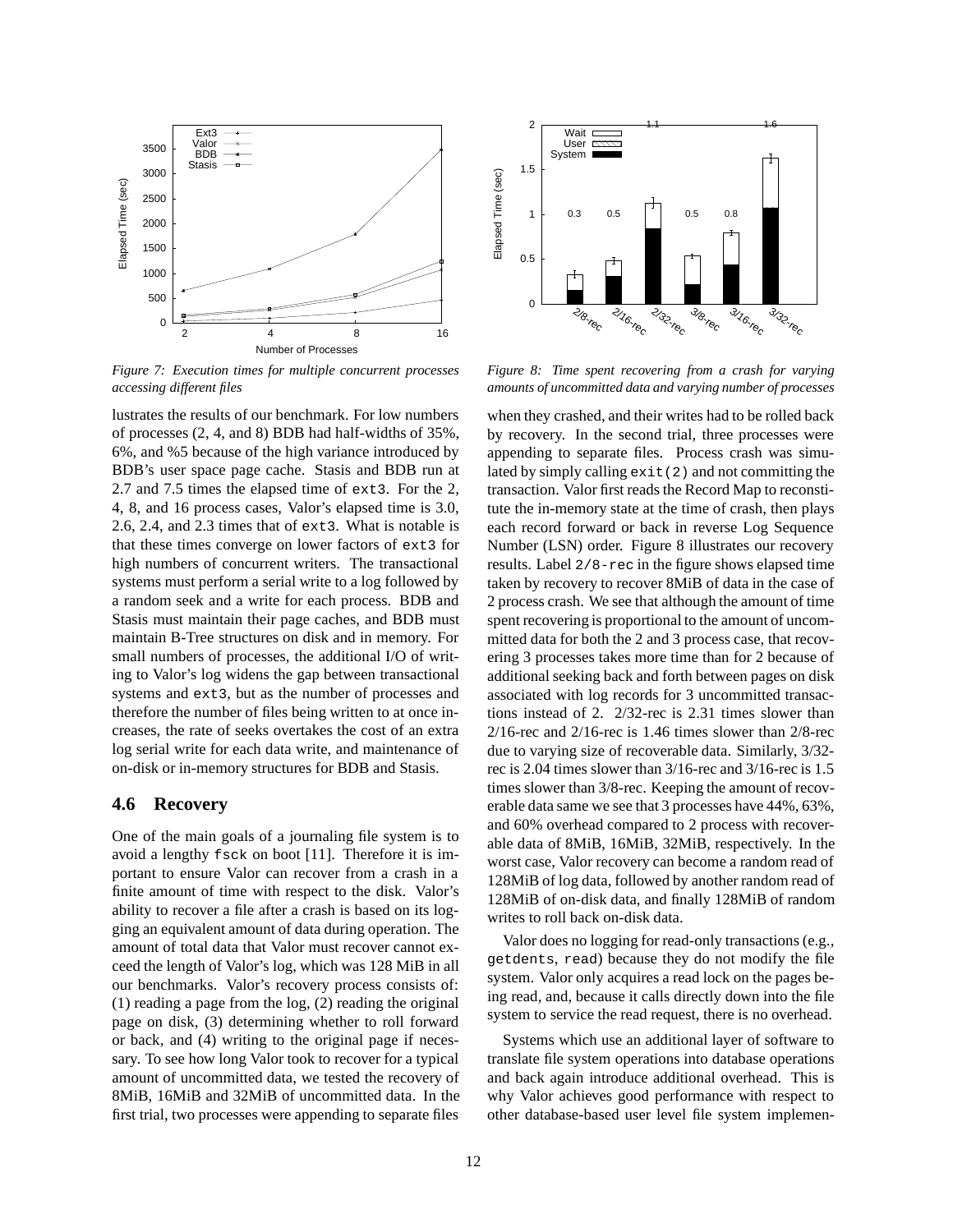

*Figure 7: Execution times for multiple concurrent processes accessing different files*

lustrates the results of our benchmark. For low numbers of processes (2, 4, and 8) BDB had half-widths of 35%, 6%, and %5 because of the high variance introduced by BDB's user space page cache. Stasis and BDB run at 2.7 and 7.5 times the elapsed time of ext3. For the 2, 4, 8, and 16 process cases, Valor's elapsed time is 3.0, 2.6, 2.4, and 2.3 times that of ext3. What is notable is that these times converge on lower factors of ext3 for high numbers of concurrent writers. The transactional systems must perform a serial write to a log followed by a random seek and a write for each process. BDB and Stasis must maintain their page caches, and BDB must maintain B-Tree structures on disk and in memory. For small numbers of processes, the additional I/O of writing to Valor's log widens the gap between transactional systems and ext3, but as the number of processes and therefore the number of files being written to at once increases, the rate of seeks overtakes the cost of an extra log serial write for each data write, and maintenance of on-disk or in-memory structures for BDB and Stasis.

## **4.6 Recovery**

One of the main goals of a journaling file system is to avoid a lengthy fsck on boot [11]. Therefore it is important to ensure Valor can recover from a crash in a finite amount of time with respect to the disk. Valor's ability to recover a file after a crash is based on its logging an equivalent amount of data during operation. The amount of total data that Valor must recover cannot exceed the length of Valor's log, which was 128 MiB in all our benchmarks. Valor's recovery process consists of: (1) reading a page from the log, (2) reading the original page on disk, (3) determining whether to roll forward or back, and (4) writing to the original page if necessary. To see how long Valor took to recover for a typical amount of uncommitted data, we tested the recovery of 8MiB, 16MiB and 32MiB of uncommitted data. In the first trial, two processes were appending to separate files



*Figure 8: Time spent recovering from a crash for varying amounts of uncommitted data and varying number of processes*

when they crashed, and their writes had to be rolled back by recovery. In the second trial, three processes were appending to separate files. Process crash was simulated by simply calling  $ext{exit}(2)$  and not committing the transaction. Valor first reads the Record Map to reconstitute the in-memory state at the time of crash, then plays each record forward or back in reverse Log Sequence Number (LSN) order. Figure 8 illustrates our recovery results. Label 2/8-rec in the figure shows elapsed time taken by recovery to recover 8MiB of data in the case of 2 process crash. We see that although the amount of time spent recovering is proportional to the amount of uncommitted data for both the 2 and 3 process case, that recovering 3 processes takes more time than for 2 because of additional seeking back and forth between pages on disk associated with log records for 3 uncommitted transactions instead of 2. 2/32-rec is 2.31 times slower than 2/16-rec and 2/16-rec is 1.46 times slower than 2/8-rec due to varying size of recoverable data. Similarly, 3/32 rec is 2.04 times slower than 3/16-rec and 3/16-rec is 1.5 times slower than 3/8-rec. Keeping the amount of recoverable data same we see that 3 processes have 44%, 63%, and 60% overhead compared to 2 process with recoverable data of 8MiB, 16MiB, 32MiB, respectively. In the worst case, Valor recovery can become a random read of 128MiB of log data, followed by another random read of 128MiB of on-disk data, and finally 128MiB of random writes to roll back on-disk data.

Valor does no logging for read-only transactions (e.g., getdents, read) because they do not modify the file system. Valor only acquires a read lock on the pages being read, and, because it calls directly down into the file system to service the read request, there is no overhead.

Systems which use an additional layer of software to translate file system operations into database operations and back again introduce additional overhead. This is why Valor achieves good performance with respect to other database-based user level file system implemen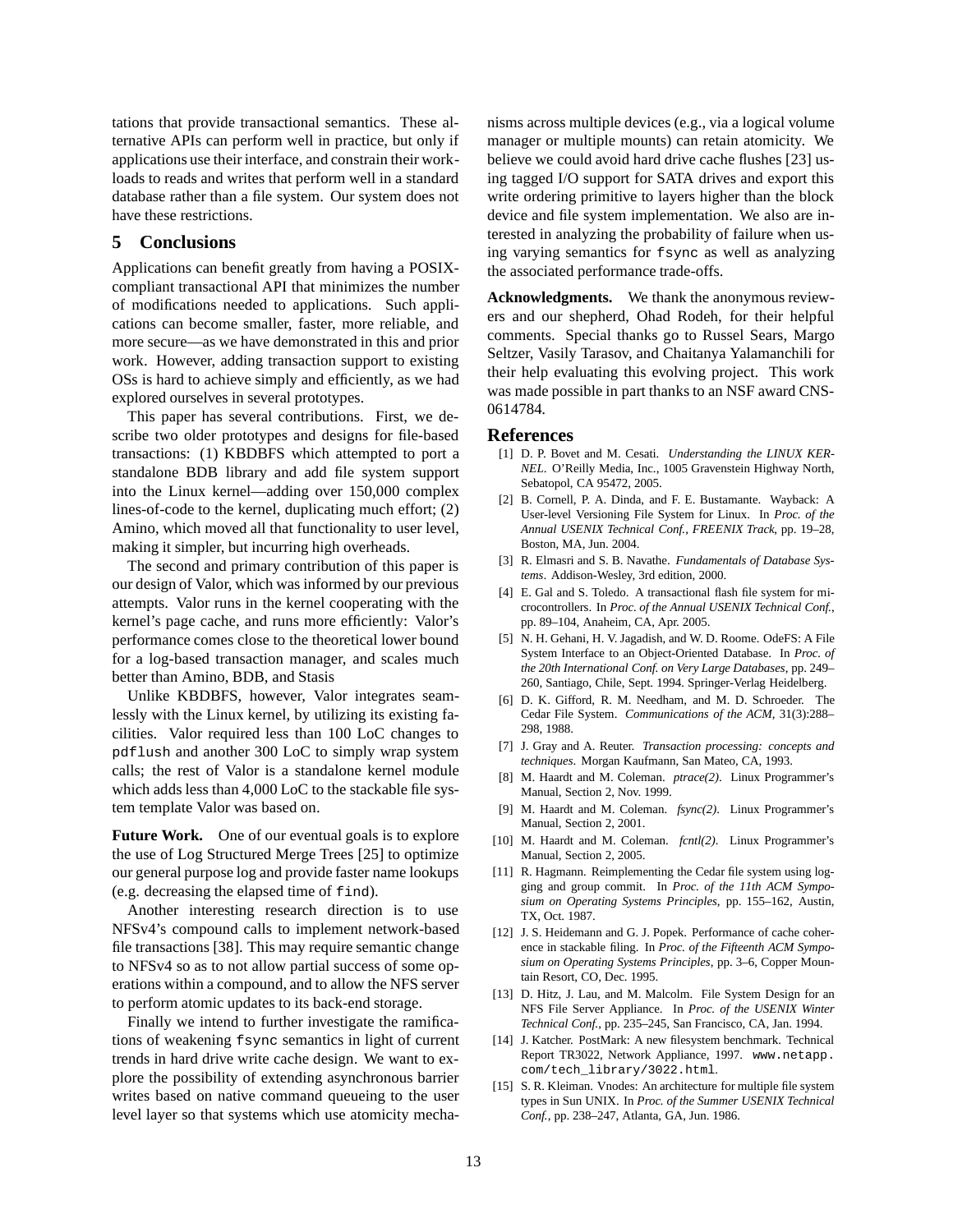tations that provide transactional semantics. These alternative APIs can perform well in practice, but only if applications use their interface, and constrain their workloads to reads and writes that perform well in a standard database rather than a file system. Our system does not have these restrictions.

# **5 Conclusions**

Applications can benefit greatly from having a POSIXcompliant transactional API that minimizes the number of modifications needed to applications. Such applications can become smaller, faster, more reliable, and more secure—as we have demonstrated in this and prior work. However, adding transaction support to existing OSs is hard to achieve simply and efficiently, as we had explored ourselves in several prototypes.

This paper has several contributions. First, we describe two older prototypes and designs for file-based transactions: (1) KBDBFS which attempted to port a standalone BDB library and add file system support into the Linux kernel—adding over 150,000 complex lines-of-code to the kernel, duplicating much effort; (2) Amino, which moved all that functionality to user level, making it simpler, but incurring high overheads.

The second and primary contribution of this paper is our design of Valor, which was informed by our previous attempts. Valor runs in the kernel cooperating with the kernel's page cache, and runs more efficiently: Valor's performance comes close to the theoretical lower bound for a log-based transaction manager, and scales much better than Amino, BDB, and Stasis

Unlike KBDBFS, however, Valor integrates seamlessly with the Linux kernel, by utilizing its existing facilities. Valor required less than 100 LoC changes to pdflush and another 300 LoC to simply wrap system calls; the rest of Valor is a standalone kernel module which adds less than 4,000 LoC to the stackable file system template Valor was based on.

**Future Work.** One of our eventual goals is to explore the use of Log Structured Merge Trees [25] to optimize our general purpose log and provide faster name lookups (e.g. decreasing the elapsed time of find).

Another interesting research direction is to use NFSv4's compound calls to implement network-based file transactions [38]. This may require semantic change to NFSv4 so as to not allow partial success of some operations within a compound, and to allow the NFS server to perform atomic updates to its back-end storage.

Finally we intend to further investigate the ramifications of weakening fsync semantics in light of current trends in hard drive write cache design. We want to explore the possibility of extending asynchronous barrier writes based on native command queueing to the user level layer so that systems which use atomicity mechanisms across multiple devices (e.g., via a logical volume manager or multiple mounts) can retain atomicity. We believe we could avoid hard drive cache flushes [23] using tagged I/O support for SATA drives and export this write ordering primitive to layers higher than the block device and file system implementation. We also are interested in analyzing the probability of failure when using varying semantics for fsync as well as analyzing the associated performance trade-offs.

**Acknowledgments.** We thank the anonymous reviewers and our shepherd, Ohad Rodeh, for their helpful comments. Special thanks go to Russel Sears, Margo Seltzer, Vasily Tarasov, and Chaitanya Yalamanchili for their help evaluating this evolving project. This work was made possible in part thanks to an NSF award CNS-0614784.

#### **References**

- [1] D. P. Bovet and M. Cesati. *Understanding the LINUX KER-NEL*. O'Reilly Media, Inc., 1005 Gravenstein Highway North, Sebatopol, CA 95472, 2005.
- [2] B. Cornell, P. A. Dinda, and F. E. Bustamante. Wayback: A User-level Versioning File System for Linux. In *Proc. of the Annual USENIX Technical Conf., FREENIX Track*, pp. 19–28, Boston, MA, Jun. 2004.
- [3] R. Elmasri and S. B. Navathe. *Fundamentals of Database Systems*. Addison-Wesley, 3rd edition, 2000.
- [4] E. Gal and S. Toledo. A transactional flash file system for microcontrollers. In *Proc. of the Annual USENIX Technical Conf.*, pp. 89–104, Anaheim, CA, Apr. 2005.
- [5] N. H. Gehani, H. V. Jagadish, and W. D. Roome. OdeFS: A File System Interface to an Object-Oriented Database. In *Proc. of the 20th International Conf. on Very Large Databases*, pp. 249– 260, Santiago, Chile, Sept. 1994. Springer-Verlag Heidelberg.
- [6] D. K. Gifford, R. M. Needham, and M. D. Schroeder. The Cedar File System. *Communications of the ACM*, 31(3):288– 298, 1988.
- [7] J. Gray and A. Reuter. *Transaction processing: concepts and techniques*. Morgan Kaufmann, San Mateo, CA, 1993.
- [8] M. Haardt and M. Coleman. *ptrace(2)*. Linux Programmer's Manual, Section 2, Nov. 1999.
- [9] M. Haardt and M. Coleman. *fsync(2)*. Linux Programmer's Manual, Section 2, 2001.
- [10] M. Haardt and M. Coleman. *fcntl(2)*. Linux Programmer's Manual, Section 2, 2005.
- [11] R. Hagmann. Reimplementing the Cedar file system using logging and group commit. In *Proc. of the 11th ACM Symposium on Operating Systems Principles*, pp. 155–162, Austin, TX, Oct. 1987.
- [12] J. S. Heidemann and G. J. Popek. Performance of cache coherence in stackable filing. In *Proc. of the Fifteenth ACM Symposium on Operating Systems Principles*, pp. 3–6, Copper Mountain Resort, CO, Dec. 1995.
- [13] D. Hitz, J. Lau, and M. Malcolm. File System Design for an NFS File Server Appliance. In *Proc. of the USENIX Winter Technical Conf.*, pp. 235–245, San Francisco, CA, Jan. 1994.
- [14] J. Katcher. PostMark: A new filesystem benchmark. Technical Report TR3022, Network Appliance, 1997. www.netapp. com/tech\_library/3022.html.
- [15] S. R. Kleiman. Vnodes: An architecture for multiple file system types in Sun UNIX. In *Proc. of the Summer USENIX Technical Conf.*, pp. 238–247, Atlanta, GA, Jun. 1986.